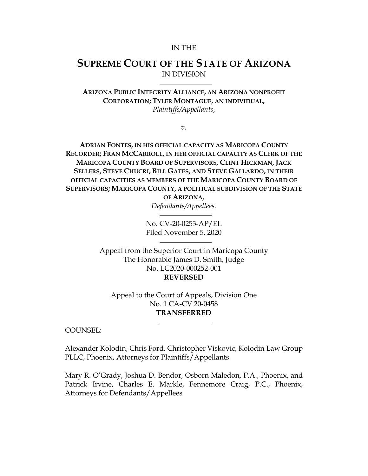#### IN THE

# **SUPREME COURT OF THE STATE OF ARIZONA** IN DIVISION

**ARIZONA PUBLIC INTEGRITY ALLIANCE, AN ARIZONA NONPROFIT CORPORATION; TYLER MONTAGUE, AN INDIVIDUAL,** *Plaintiffs/Appellants*,

*v.*

**ADRIAN FONTES, IN HIS OFFICIAL CAPACITY AS MARICOPA COUNTY RECORDER; FRAN MCCARROLL, IN HER OFFICIAL CAPACITY AS CLERK OF THE MARICOPA COUNTY BOARD OF SUPERVISORS, CLINT HICKMAN, JACK SELLERS, STEVE CHUCRI, BILL GATES, AND STEVE GALLARDO, IN THEIR OFFICIAL CAPACITIES AS MEMBERS OF THE MARICOPA COUNTY BOARD OF SUPERVISORS; MARICOPA COUNTY, A POLITICAL SUBDIVISION OF THE STATE** 

**OF ARIZONA,** *Defendants/Appellees.*

No. CV-20-0253-AP/EL Filed November 5, 2020

Appeal from the Superior Court in Maricopa County The Honorable James D. Smith, Judge No. LC2020-000252-001 **REVERSED**

Appeal to the Court of Appeals, Division One No. 1 CA-CV 20-0458 **TRANSFERRED**

COUNSEL:

Alexander Kolodin, Chris Ford, Christopher Viskovic, Kolodin Law Group PLLC, Phoenix, Attorneys for Plaintiffs/Appellants

Mary R. O'Grady, Joshua D. Bendor, Osborn Maledon, P.A., Phoenix, and Patrick Irvine, Charles E. Markle, Fennemore Craig, P.C., Phoenix, Attorneys for Defendants/Appellees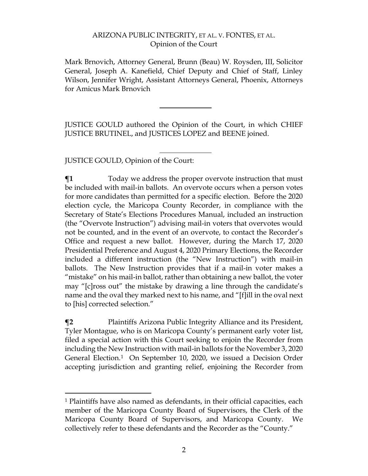Mark Brnovich, Attorney General, Brunn (Beau) W. Roysden, III, Solicitor General, Joseph A. Kanefield, Chief Deputy and Chief of Staff, Linley Wilson, Jennifer Wright, Assistant Attorneys General, Phoenix, Attorneys for Amicus Mark Brnovich

JUSTICE GOULD authored the Opinion of the Court, in which CHIEF JUSTICE BRUTINEL, and JUSTICES LOPEZ and BEENE joined.

JUSTICE GOULD, Opinion of the Court:

**¶1** Today we address the proper overvote instruction that must be included with mail-in ballots. An overvote occurs when a person votes for more candidates than permitted for a specific election. Before the 2020 election cycle, the Maricopa County Recorder, in compliance with the Secretary of State's Elections Procedures Manual, included an instruction (the "Overvote Instruction") advising mail-in voters that overvotes would not be counted, and in the event of an overvote, to contact the Recorder's Office and request a new ballot. However, during the March 17, 2020 Presidential Preference and August 4, 2020 Primary Elections, the Recorder included a different instruction (the "New Instruction") with mail-in ballots. The New Instruction provides that if a mail-in voter makes a "mistake" on his mail-in ballot, rather than obtaining a new ballot, the voter may "[c]ross out" the mistake by drawing a line through the candidate's name and the oval they marked next to his name, and "[f]ill in the oval next to [his] corrected selection."

**¶2** Plaintiffs Arizona Public Integrity Alliance and its President, Tyler Montague, who is on Maricopa County's permanent early voter list, filed a special action with this Court seeking to enjoin the Recorder from including the New Instruction with mail-in ballots for the November 3, 2020 General Election.[1](#page-1-0) On September 10, 2020, we issued a Decision Order accepting jurisdiction and granting relief, enjoining the Recorder from

<span id="page-1-0"></span> <sup>1</sup> Plaintiffs have also named as defendants, in their official capacities, each member of the Maricopa County Board of Supervisors, the Clerk of the Maricopa County Board of Supervisors, and Maricopa County. We collectively refer to these defendants and the Recorder as the "County."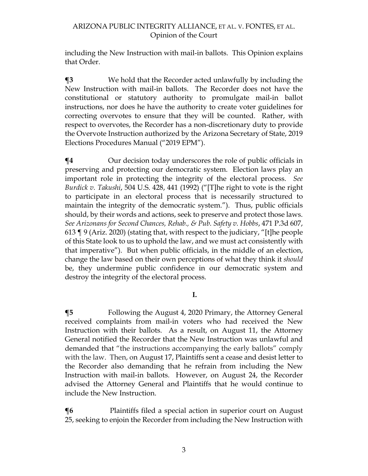including the New Instruction with mail-in ballots. This Opinion explains that Order.

**¶3** We hold that the Recorder acted unlawfully by including the New Instruction with mail-in ballots. The Recorder does not have the constitutional or statutory authority to promulgate mail-in ballot instructions, nor does he have the authority to create voter guidelines for correcting overvotes to ensure that they will be counted. Rather, with respect to overvotes, the Recorder has a non-discretionary duty to provide the Overvote Instruction authorized by the Arizona Secretary of State, 2019 Elections Procedures Manual ("2019 EPM").

 $\P$ **4** Our decision today underscores the role of public officials in preserving and protecting our democratic system. Election laws play an important role in protecting the integrity of the electoral process. *See Burdick v. Takushi*, 504 U.S. 428, 441 (1992) ("[T]he right to vote is the right to participate in an electoral process that is necessarily structured to maintain the integrity of the democratic system."). Thus, public officials should, by their words and actions, seek to preserve and protect those laws. *See Arizonans for Second Chances, Rehab., & Pub. Safety v. Hobbs*, 471 P.3d 607, 613 ¶ 9 (Ariz. 2020) (stating that, with respect to the judiciary, "[t]he people of this State look to us to uphold the law, and we must act consistently with that imperative"). But when public officials, in the middle of an election, change the law based on their own perceptions of what they think it *should* be, they undermine public confidence in our democratic system and destroy the integrity of the electoral process.

**I.**

**¶5** Following the August 4, 2020 Primary, the Attorney General received complaints from mail-in voters who had received the New Instruction with their ballots. As a result, on August 11, the Attorney General notified the Recorder that the New Instruction was unlawful and demanded that "the instructions accompanying the early ballots" comply with the law. Then, on August 17, Plaintiffs sent a cease and desist letter to the Recorder also demanding that he refrain from including the New Instruction with mail-in ballots. However, on August 24, the Recorder advised the Attorney General and Plaintiffs that he would continue to include the New Instruction.

**¶6** Plaintiffs filed a special action in superior court on August 25, seeking to enjoin the Recorder from including the New Instruction with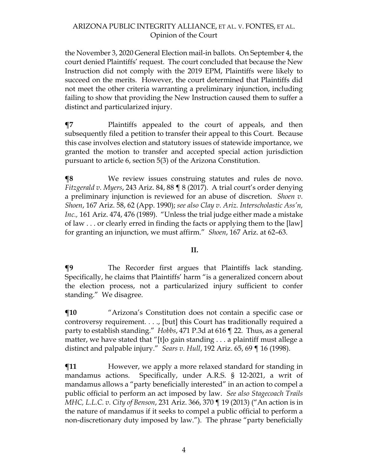the November 3, 2020 General Election mail-in ballots. On September 4, the court denied Plaintiffs' request. The court concluded that because the New Instruction did not comply with the 2019 EPM, Plaintiffs were likely to succeed on the merits. However, the court determined that Plaintiffs did not meet the other criteria warranting a preliminary injunction, including failing to show that providing the New Instruction caused them to suffer a distinct and particularized injury.

**¶7** Plaintiffs appealed to the court of appeals, and then subsequently filed a petition to transfer their appeal to this Court. Because this case involves election and statutory issues of statewide importance, we granted the motion to transfer and accepted special action jurisdiction pursuant to article 6, section 5(3) of the Arizona Constitution.

**¶8** We review issues construing statutes and rules de novo. *Fitzgerald v. Myers*, 243 Ariz. 84, 88 ¶ 8 (2017). A trial court's order denying a preliminary injunction is reviewed for an abuse of discretion. *Shoen v. Shoen*, 167 Ariz. 58, 62 (App. 1990); *see also Clay v. Ariz. Interscholastic Ass'n, Inc.,* 161 Ariz. 474, 476 (1989). "Unless the trial judge either made a mistake of law . . . or clearly erred in finding the facts or applying them to the [law] for granting an injunction, we must affirm." *Shoen*, 167 Ariz. at 62–63.

## **II.**

**¶9** The Recorder first argues that Plaintiffs lack standing. Specifically, he claims that Plaintiffs' harm "is a generalized concern about the election process, not a particularized injury sufficient to confer standing." We disagree.

**¶10** "Arizona's Constitution does not contain a specific case or controversy requirement. . . ., [but] this Court has traditionally required a party to establish standing." *Hobbs*, 471 P.3d at 616 ¶ 22. Thus, as a general matter, we have stated that "[t]o gain standing . . . a plaintiff must allege a distinct and palpable injury." *Sears v. Hull*, 192 Ariz. 65, 69 ¶ 16 (1998).

 $$$ **I1** However, we apply a more relaxed standard for standing in mandamus actions. Specifically, under A.R.S. § 12-2021, a writ of mandamus allows a "party beneficially interested" in an action to compel a public official to perform an act imposed by law. *See also Stagecoach Trails MHC, L.L.C. v. City of Benson*, 231 Ariz. 366, 370 ¶ 19 (2013) ("An action is in the nature of mandamus if it seeks to compel a public official to perform a non-discretionary duty imposed by law."). The phrase "party beneficially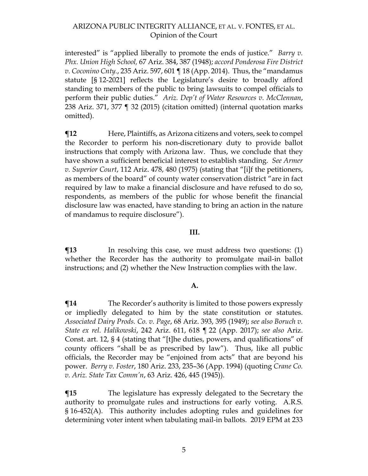interested" is "applied liberally to promote the ends of justice." *Barry v. Phx. Union High School,* 67 Ariz. 384, 387 (1948); *accord Ponderosa Fire District v. Coconino Cnty.*, 235 Ariz. 597, 601 ¶ 18 (App. 2014). Thus, the "mandamus statute [§ 12-2021] reflects the Legislature's desire to broadly afford standing to members of the public to bring lawsuits to compel officials to perform their public duties." *Ariz. Dep't of Water Resources v. McClennan*, 238 Ariz. 371, 377 ¶ 32 (2015) (citation omitted) (internal quotation marks omitted).

 $\P$ **12** Here, Plaintiffs, as Arizona citizens and voters, seek to compel the Recorder to perform his non-discretionary duty to provide ballot instructions that comply with Arizona law. Thus, we conclude that they have shown a sufficient beneficial interest to establish standing. *See Armer v. Superior Court*, 112 Ariz. 478, 480 (1975) (stating that "[i]f the petitioners, as members of the board" of county water conservation district "are in fact required by law to make a financial disclosure and have refused to do so, respondents, as members of the public for whose benefit the financial disclosure law was enacted, have standing to bring an action in the nature of mandamus to require disclosure").

#### **III.**

**¶13** In resolving this case, we must address two questions: (1) whether the Recorder has the authority to promulgate mail-in ballot instructions; and (2) whether the New Instruction complies with the law.

## **A.**

 $\P$ **14** The Recorder's authority is limited to those powers expressly or impliedly delegated to him by the state constitution or statutes. *Associated Dairy Prods. Co. v. Page*, 68 Ariz. 393, 395 (1949); *see also Boruch v. State ex rel. Halikowski*, 242 Ariz. 611, 618 ¶ 22 (App. 2017); *see also* Ariz. Const. art. 12, § 4 (stating that "[t]he duties, powers, and qualifications" of county officers "shall be as prescribed by law"). Thus, like all public officials, the Recorder may be "enjoined from acts" that are beyond his power. *Berry v. Foster*, 180 Ariz. 233, 235–36 (App. 1994) (quoting *Crane Co. v. Ariz. State Tax Comm'n*, 63 Ariz. 426, 445 (1945)).

**The legislature has expressly delegated to the Secretary the** authority to promulgate rules and instructions for early voting. A.R.S. § 16-452(A). This authority includes adopting rules and guidelines for determining voter intent when tabulating mail-in ballots. 2019 EPM at 233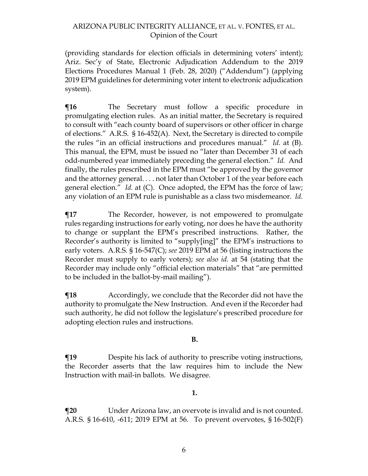(providing standards for election officials in determining voters' intent); Ariz. Sec'y of State, Electronic Adjudication Addendum to the 2019 Elections Procedures Manual 1 (Feb. 28, 2020) ("Addendum") (applying 2019 EPM guidelines for determining voter intent to electronic adjudication system).

 $\P$ **16** The Secretary must follow a specific procedure in promulgating election rules. As an initial matter, the Secretary is required to consult with "each county board of supervisors or other officer in charge of elections." A.R.S. § 16-452(A). Next, the Secretary is directed to compile the rules "in an official instructions and procedures manual." *Id.* at (B). This manual, the EPM, must be issued no "later than December 31 of each odd-numbered year immediately preceding the general election." *Id.* And finally, the rules prescribed in the EPM must "be approved by the governor and the attorney general. . . . not later than October 1 of the year before each general election." *Id.* at (C). Once adopted, the EPM has the force of law; any violation of an EPM rule is punishable as a class two misdemeanor. *Id.*

**¶17** The Recorder, however, is not empowered to promulgate rules regarding instructions for early voting, nor does he have the authority to change or supplant the EPM's prescribed instructions. Rather, the Recorder's authority is limited to "supply[ing]" the EPM's instructions to early voters. A.R.S. § 16-547(C); *see* 2019 EPM at 56 (listing instructions the Recorder must supply to early voters); *see also id.* at 54 (stating that the Recorder may include only "official election materials" that "are permitted to be included in the ballot-by-mail mailing").

**¶18** Accordingly, we conclude that the Recorder did not have the authority to promulgate the New Instruction. And even if the Recorder had such authority, he did not follow the legislature's prescribed procedure for adopting election rules and instructions.

## **B.**

**The Example 19** Despite his lack of authority to prescribe voting instructions, the Recorder asserts that the law requires him to include the New Instruction with mail-in ballots. We disagree.

#### **1.**

**¶20** Under Arizona law, an overvote is invalid and is not counted. A.R.S. § 16-610, -611; 2019 EPM at 56. To prevent overvotes, § 16-502(F)

6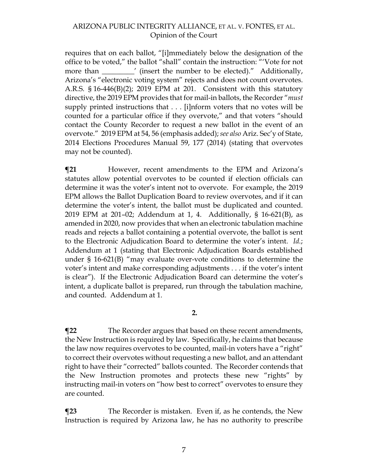requires that on each ballot, "[i]mmediately below the designation of the office to be voted," the ballot "shall" contain the instruction: "'Vote for not more than \_\_\_\_\_\_\_\_\_' (insert the number to be elected)." Additionally, Arizona's "electronic voting system" rejects and does not count overvotes. A.R.S. § 16-446(B)(2); 2019 EPM at 201. Consistent with this statutory directive, the 2019 EPM provides that for mail-in ballots, the Recorder "*must*  supply printed instructions that . . . [i]nform voters that no votes will be counted for a particular office if they overvote," and that voters "should contact the County Recorder to request a new ballot in the event of an overvote." 2019 EPM at 54, 56 (emphasis added); *see also* Ariz. Sec'y of State, 2014 Elections Procedures Manual 59, 177 (2014) (stating that overvotes may not be counted).

**¶21** However, recent amendments to the EPM and Arizona's statutes allow potential overvotes to be counted if election officials can determine it was the voter's intent not to overvote. For example, the 2019 EPM allows the Ballot Duplication Board to review overvotes, and if it can determine the voter's intent, the ballot must be duplicated and counted. 2019 EPM at 201–02; Addendum at 1, 4. Additionally, § 16-621(B), as amended in 2020, now provides that when an electronic tabulation machine reads and rejects a ballot containing a potential overvote, the ballot is sent to the Electronic Adjudication Board to determine the voter's intent. *Id.*; Addendum at 1 (stating that Electronic Adjudication Boards established under § 16-621(B) "may evaluate over-vote conditions to determine the voter's intent and make corresponding adjustments . . . if the voter's intent is clear"). If the Electronic Adjudication Board can determine the voter's intent, a duplicate ballot is prepared, run through the tabulation machine, and counted. Addendum at 1.

**2.**

**¶22** The Recorder argues that based on these recent amendments, the New Instruction is required by law. Specifically, he claims that because the law now requires overvotes to be counted, mail-in voters have a "right" to correct their overvotes without requesting a new ballot, and an attendant right to have their "corrected" ballots counted. The Recorder contends that the New Instruction promotes and protects these new "rights" by instructing mail-in voters on "how best to correct" overvotes to ensure they are counted.

**¶23** The Recorder is mistaken. Even if, as he contends, the New Instruction is required by Arizona law, he has no authority to prescribe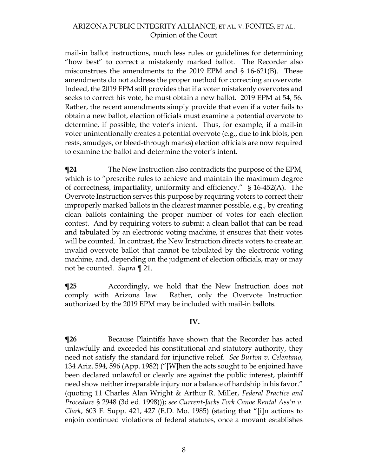mail-in ballot instructions, much less rules or guidelines for determining "how best" to correct a mistakenly marked ballot. The Recorder also misconstrues the amendments to the 2019 EPM and § 16-621(B). These amendments do not address the proper method for correcting an overvote. Indeed, the 2019 EPM still provides that if a voter mistakenly overvotes and seeks to correct his vote, he must obtain a new ballot. 2019 EPM at 54, 56. Rather, the recent amendments simply provide that even if a voter fails to obtain a new ballot, election officials must examine a potential overvote to determine, if possible, the voter's intent. Thus, for example, if a mail-in voter unintentionally creates a potential overvote (e.g., due to ink blots, pen rests, smudges, or bleed-through marks) election officials are now required to examine the ballot and determine the voter's intent.

**The New Instruction also contradicts the purpose of the EPM,** which is to "prescribe rules to achieve and maintain the maximum degree of correctness, impartiality, uniformity and efficiency." § 16-452(A). The Overvote Instruction serves this purpose by requiring voters to correct their improperly marked ballots in the clearest manner possible, e.g., by creating clean ballots containing the proper number of votes for each election contest. And by requiring voters to submit a clean ballot that can be read and tabulated by an electronic voting machine, it ensures that their votes will be counted. In contrast, the New Instruction directs voters to create an invalid overvote ballot that cannot be tabulated by the electronic voting machine, and, depending on the judgment of election officials, may or may not be counted. *Supra* ¶ 21.

**¶25** Accordingly, we hold that the New Instruction does not comply with Arizona law. Rather, only the Overvote Instruction authorized by the 2019 EPM may be included with mail-in ballots.

#### **IV.**

**¶26** Because Plaintiffs have shown that the Recorder has acted unlawfully and exceeded his constitutional and statutory authority, they need not satisfy the standard for injunctive relief. *See Burton v. Celentano*, 134 Ariz. 594, 596 (App. 1982) ("[W]hen the acts sought to be enjoined have been declared unlawful or clearly are against the public interest, plaintiff need show neither irreparable injury nor a balance of hardship in his favor." (quoting 11 Charles Alan Wright & Arthur R. Miller, *Federal Practice and Procedure* § 2948 (3d ed. 1998))); *see Current-Jacks Fork Canoe Rental Ass'n v. Clark*, 603 F. Supp. 421, 427 (E.D. Mo. 1985) (stating that "[i]n actions to enjoin continued violations of federal statutes, once a movant establishes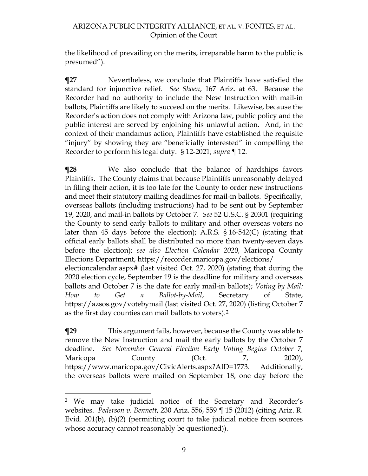the likelihood of prevailing on the merits, irreparable harm to the public is presumed").

**¶27** Nevertheless, we conclude that Plaintiffs have satisfied the standard for injunctive relief. *See Shoen*, 167 Ariz. at 63. Because the Recorder had no authority to include the New Instruction with mail-in ballots, Plaintiffs are likely to succeed on the merits. Likewise, because the Recorder's action does not comply with Arizona law, public policy and the public interest are served by enjoining his unlawful action. And, in the context of their mandamus action, Plaintiffs have established the requisite "injury" by showing they are "beneficially interested" in compelling the Recorder to perform his legal duty. § 12-2021; *supra* ¶ 12.

**¶28** We also conclude that the balance of hardships favors Plaintiffs. The County claims that because Plaintiffs unreasonably delayed in filing their action, it is too late for the County to order new instructions and meet their statutory mailing deadlines for mail-in ballots. Specifically, overseas ballots (including instructions) had to be sent out by September 19, 2020, and mail-in ballots by October 7. *See* 52 U.S.C. § 20301 (requiring the County to send early ballots to military and other overseas voters no later than 45 days before the election); A.R.S. § 16-542(C) (stating that official early ballots shall be distributed no more than twenty-seven days before the election); *see also Election Calendar 2020*, Maricopa County Elections Department, https://recorder.maricopa.gov/elections/ electioncalendar.aspx# (last visited Oct. 27, 2020) (stating that during the 2020 election cycle, September 19 is the deadline for military and overseas ballots and October 7 is the date for early mail-in ballots); *Voting by Mail: How to Get a Ballot-by-Mail*, Secretary of State, https://azsos.gov/votebymail (last visited Oct. 27, 2020) (listing October 7

**¶29** This argument fails, however, because the County was able to remove the New Instruction and mail the early ballots by the October 7 deadline. *See November General Election Early Voting Begins October 7*, Maricopa County (Oct. 7, 2020), https://www.maricopa.gov/CivicAlerts.aspx?AID=1773. Additionally, the overseas ballots were mailed on September 18, one day before the

as the first day counties can mail ballots to voters).[2](#page-8-0)

<span id="page-8-0"></span> <sup>2</sup> We may take judicial notice of the Secretary and Recorder's websites. *Pederson v. Bennett*, 230 Ariz. 556, 559 ¶ 15 (2012) (citing Ariz. R. Evid. 201(b), (b)(2) (permitting court to take judicial notice from sources whose accuracy cannot reasonably be questioned)).